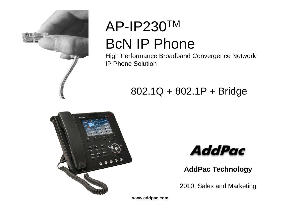

# AP-IP230TM BcN IP Phone

High Performance Broadband Convergence Network IP Phone Solution

### 802.1Q + 802.1P + Bridge





**AddPac Technology**

2010, Sales and Marketing

**www.addpac.com**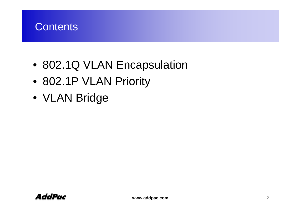

- 802.1Q VLAN Encapsulation
- 802.1P VLAN Priority
- VLAN Bridge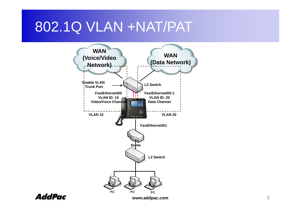# 802.1Q VLAN +NAT/PAT





**www.addpac.com**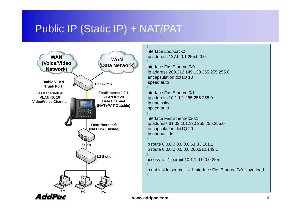#### Public IP (Static IP) + NAT/PAT



interface Loopback0 **N b** ip address 127.0.0.1 255.0.0.0

> interface FastEthernet0/0ip address 200.212.149.130 255.255.255.0 encapsulation dot1Q 10 speed auto

interface FastEthernet0/1ip address 10.1.1.1 255.255.255.0 ip nat inside speed auto

interface FastEthernet0/0:1ip address 61.33.161.130 255.255.255.0 encapsulation dot1Q 20 p ip nat outside

ip route 0.0.0.0 0.0.0.0 61.33.161.1 ip route 0.0.0.0 0.0.0.0 200.212.149.1

access-list 1 permit 10.1.1.0 0.0.0.255

ip nat inside source list 1 interface FastEthernet0/0:1 overload

!

!

!

!

!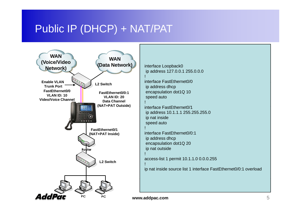#### Public IP (DHCP) + NAT/PAT



interface Loopback0 ip address 127.0.0.1 255.0.0.0

interface FastEthernet0/0ip address dhcp encapsulation dot1Q 10 speed auto

!

!

!

!

|<br>|

interface FastEthernet0/1 ip address 10.1.1.1 255.255.255.0 ip nat inside speed auto

interface FastEthernet0/0:1ip address dhcp encapsulation dot1Q 20 ip nat outside

access-list 1 permit 10.1.1.0 0.0.0.255

ip nat inside source list 1 interface FastEthernet0/0:1 overload

**www.addpac.com** 5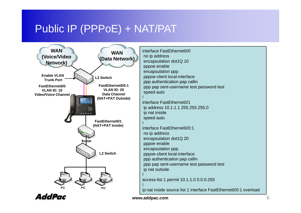#### Public IP (PPPoE) + NAT/PAT\_



interface FastEthernet0/0no ip address encapsulation dot1Q 10 pppoe enable encapsulation ppp pppoe-client local-interface ppp pap sent-username test password test speed auto !interface FastEthernet0/1ip address 10.1.1.1 255.255.255.0 ip address 10.1.1.1 255.255.255.0<br>ip nat inside speed auto !interface FastEthernet0/0:1no ip address encapsulation dot1Q 20 pppoe enable encapsulation ppp pppoe-client local-interface ppp authentication pap callin ppp pap sent-username test password test ip nat outside

access-list 1 permit 10.1.1.0 0.0.0.255<br>!

ip nat inside source list 1 interface FastEthernet0/0:1 overload



**www.addpac.com** 6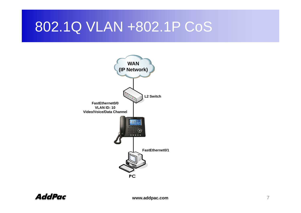# 802.1Q VLAN +802.1P CoS

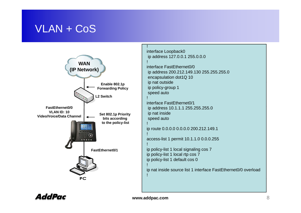#### VLAN + CoS



interface Loopback0 ip address 127.0.0.1 255.0.0.0

interface FastEthernet0/0ip address 200.212.149.130 255.255.255.0 encapsulation dot1Q 10 ip nat outside ip policy-group 1 speed auto

interface FastEthernet0/1 ip address 10.1.1.1 255.255.255.0 ip nat inside speed auto

ip route 0.0.0.0 0.0.0.0 200.212.149.1 p

access-list 1 permit 10.1.1.0 0.0.0.255

ip policy-list 1 local signaling cos 7 ip policy-list 1 local rtp cos 7 ip policy-list 1 default cos 0

ip nat inside source list 1 interface FastEthernet0/0 overload



!

!

!

!

!

!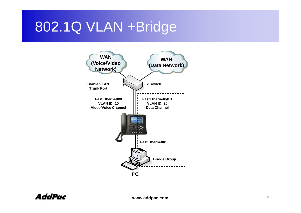## 802.1Q VLAN +Bridge

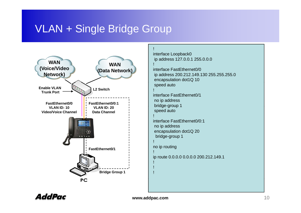

```
interface Loopback0
 ip address 127.0.0.1 255.0.0.0
interface FastEthernet0/0ip address 200.212.149.130 255.255.255.0
encapsulation dot1Q 10
speed auto
!interface FastEthernet0/1no ip address
speed auto
!interface FastEthernet0/0:1no ip address
 encapsulation dot1Q 20
 bridge-group 1
!no ip routing
!ip route 0.0.0.0 0.0.0.0 200.212.149.1
!!
```
AddPac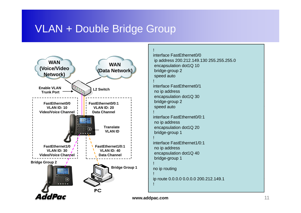#### VLAN + Double Bridge Group



```
interface FastEthernet0/0ip address 200.212.149.130 255.255.255.0
encapsulation dot1Q 10
bridge-group 2
speed auto
```

```
interface FastEthernet0/1no ip address
encapsulation dot1Q 30
bridge-group 2
speed auto
```

```
interface FastEthernet0/0:1no ip address
encapsulation dot1Q 20
 bridge-group 1
```

```
interface FastEthernet1/0:1no ip address
encapsulation dot1Q 40
bridge-group 1
```

```
no ip routing
```
ip route 0.0.0.0 0.0.0.0 200.212.149.1<br>!

**www.addpac.com** 11

!

!

!

!

!